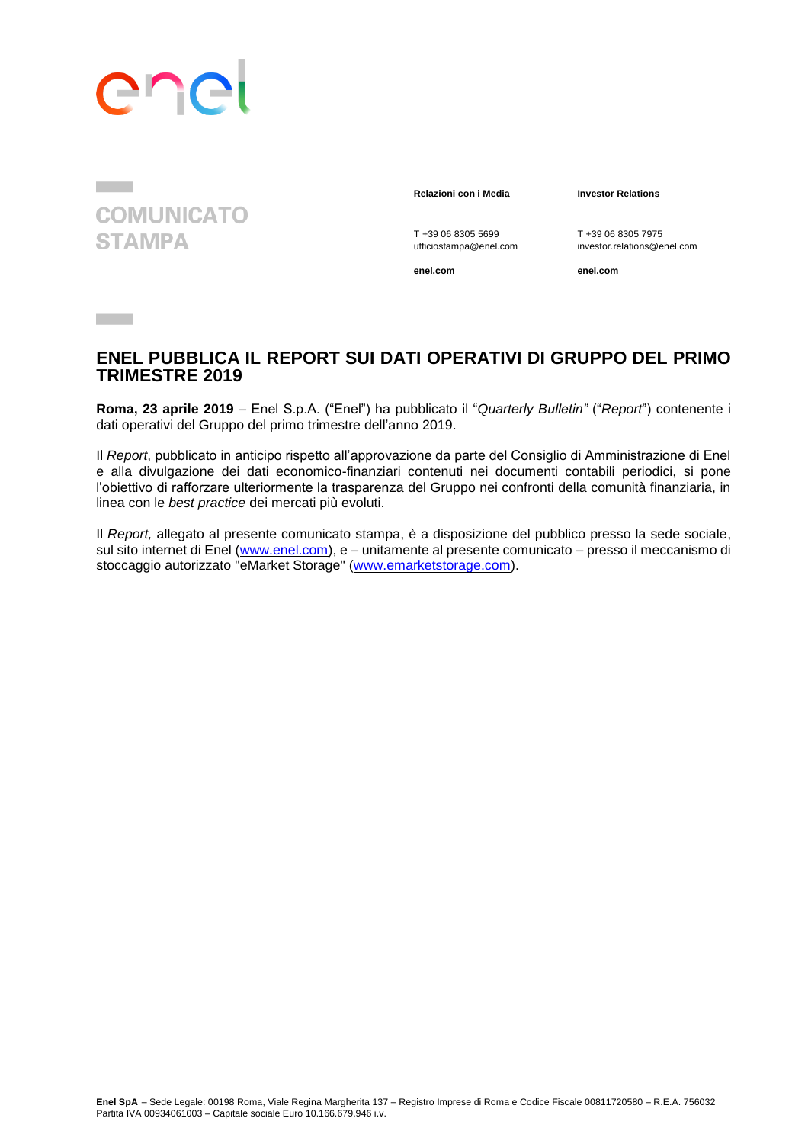## enei

### **COMUNICATO STAMPA**

**Contract** 

**Relazioni con i Media Investor Relations**

T +39 06 8305 5699 T +39 06 8305 7975<br>
ufficiostampa@enel.com investor.relations@enel.com ufficiostampa@enel.com

**enel.com enel.com**

### **ENEL PUBBLICA IL REPORT SUI DATI OPERATIVI DI GRUPPO DEL PRIMO TRIMESTRE 2019**

**Roma, 23 aprile 2019** – Enel S.p.A. ("Enel") ha pubblicato il "*Quarterly Bulletin"* ("*Report*") contenente i dati operativi del Gruppo del primo trimestre dell'anno 2019.

Il *Report*, pubblicato in anticipo rispetto all'approvazione da parte del Consiglio di Amministrazione di Enel e alla divulgazione dei dati economico-finanziari contenuti nei documenti contabili periodici, si pone l'obiettivo di rafforzare ulteriormente la trasparenza del Gruppo nei confronti della comunità finanziaria, in linea con le *best practice* dei mercati più evoluti.

Il *Report,* allegato al presente comunicato stampa, è a disposizione del pubblico presso la sede sociale, sul sito internet di Enel [\(www.enel.com\)](http://www.enel.com/), e - unitamente al presente comunicato - presso il meccanismo di stoccaggio autorizzato "eMarket Storage" [\(www.emarketstorage.com\)](http://www.emarketstorage.com/).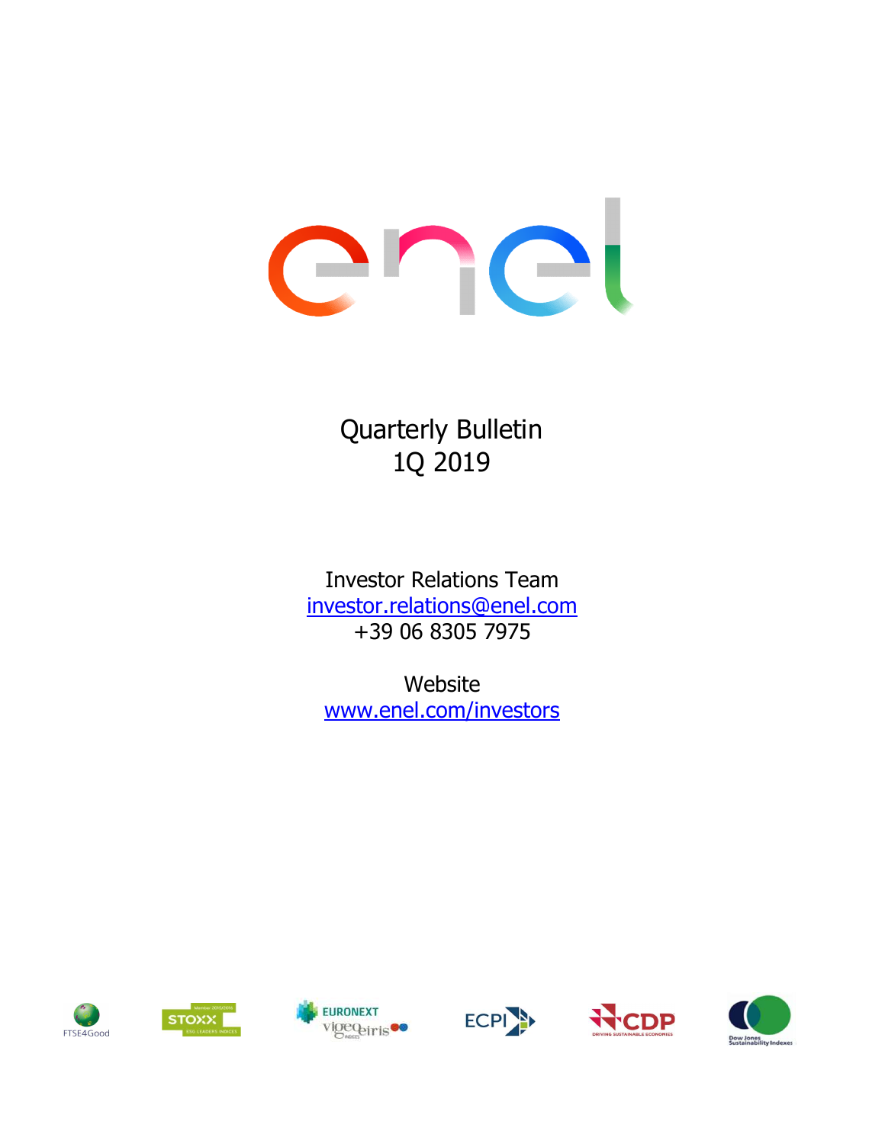# enel

Quarterly Bulletin 1Q 2019

Investor Relations Team investor.relations@enel.com +39 06 8305 7975

www.enel.com/investors Website











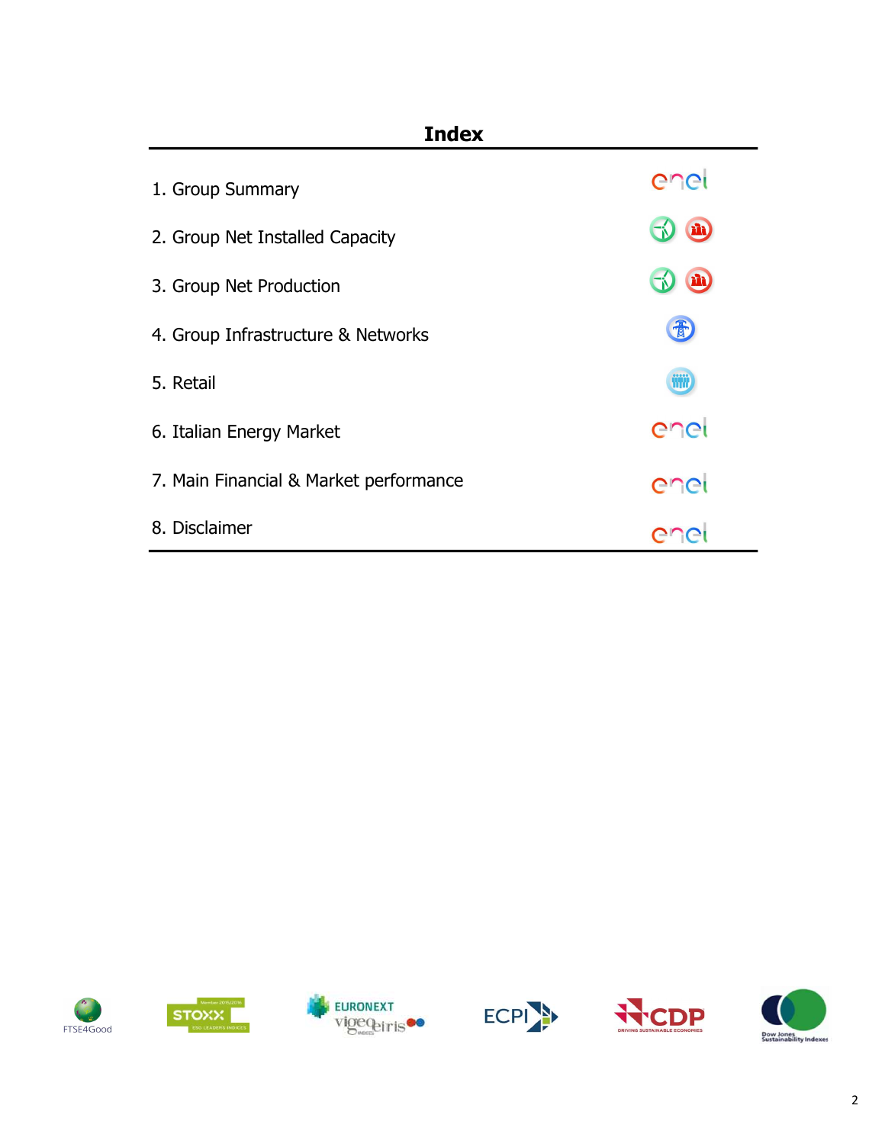| <b>Index</b>                           |             |
|----------------------------------------|-------------|
| 1. Group Summary                       | enei        |
| 2. Group Net Installed Capacity        | (iii)<br>CN |
| 3. Group Net Production                | Ŵ           |
| 4. Group Infrastructure & Networks     |             |
| 5. Retail                              | Wii         |
| 6. Italian Energy Market               | enei        |
| 7. Main Financial & Market performance | enei        |
| 8. Disclaimer                          |             |











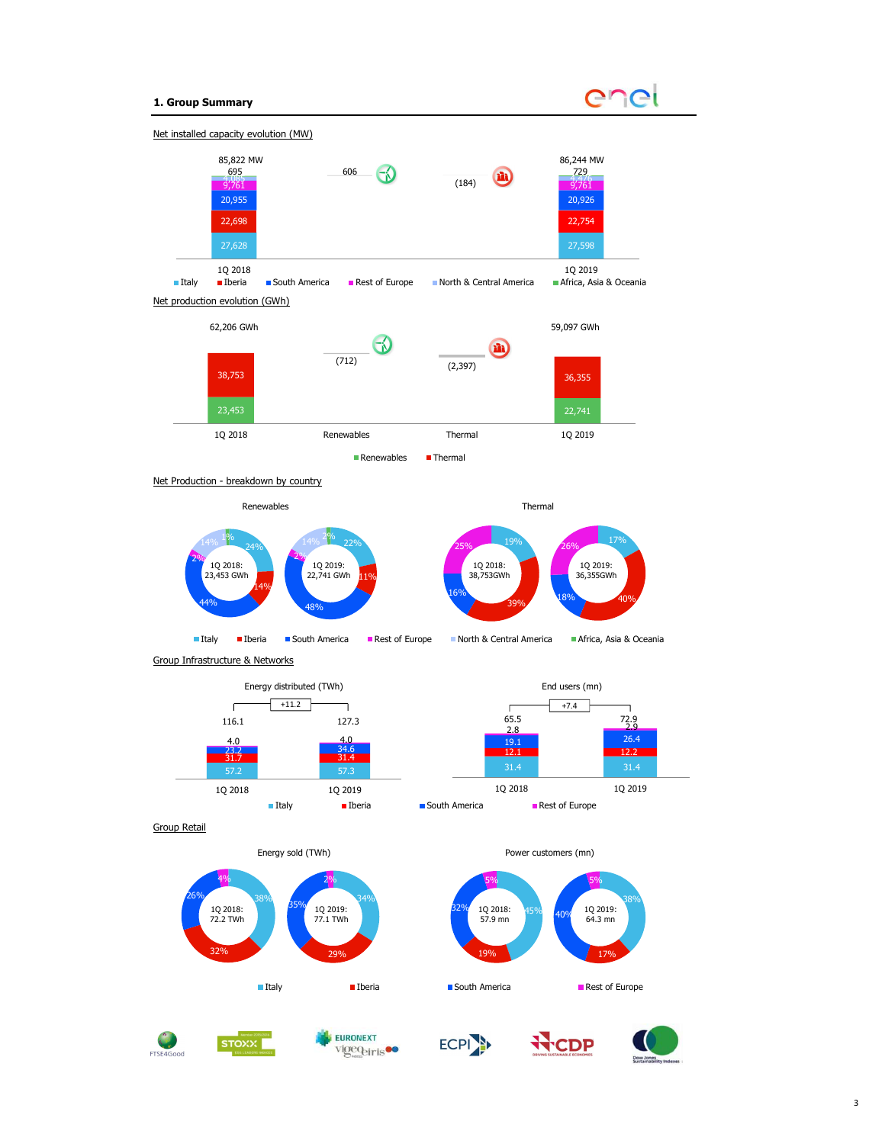



3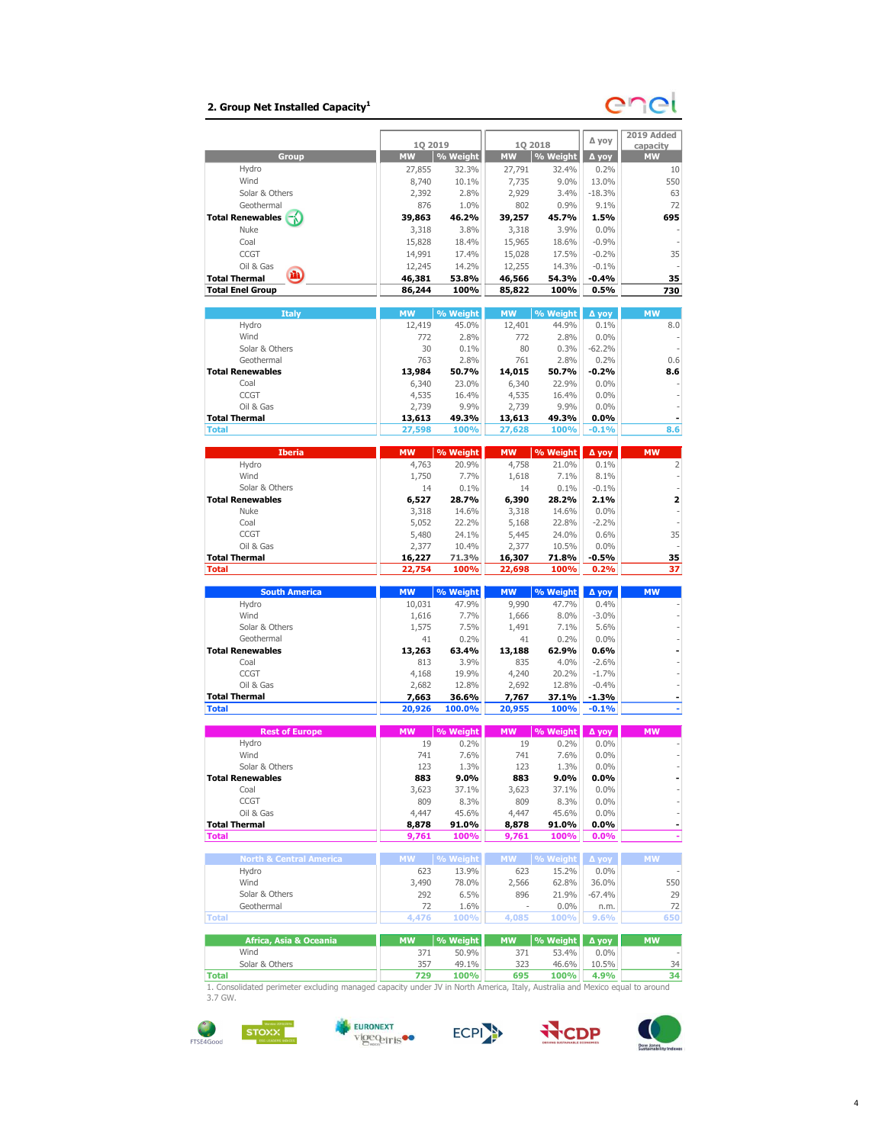### 2. Group Net Installed Capacity $^1$

### enet

|                                                                                                                                             |           |          |           |          |          | 2019 Added     |
|---------------------------------------------------------------------------------------------------------------------------------------------|-----------|----------|-----------|----------|----------|----------------|
|                                                                                                                                             | 1Q 2019   |          |           | 1Q 2018  | ∆ уоу    | capacity       |
| Group                                                                                                                                       | <b>MW</b> | % Weight | <b>MW</b> | % Weight | Д уоу    | <b>MW</b>      |
|                                                                                                                                             |           |          |           |          |          |                |
| Hydro                                                                                                                                       | 27,855    | 32.3%    | 27,791    | 32.4%    | 0.2%     | 10             |
| Wind                                                                                                                                        | 8,740     | 10.1%    | 7,735     | 9.0%     | 13.0%    | 550            |
| Solar & Others                                                                                                                              | 2,392     | 2.8%     | 2,929     | 3.4%     | $-18.3%$ | 63             |
| Geothermal                                                                                                                                  | 876       | 1.0%     | 802       | 0.9%     | 9.1%     | 72             |
| <b>Total Renewables</b>                                                                                                                     |           | 46.2%    |           |          | 1.5%     | 695            |
|                                                                                                                                             | 39,863    |          | 39,257    | 45.7%    |          |                |
| Nuke                                                                                                                                        | 3,318     | 3.8%     | 3,318     | 3.9%     | 0.0%     |                |
| Coal                                                                                                                                        | 15,828    | 18.4%    | 15,965    | 18.6%    | $-0.9%$  |                |
| <b>CCGT</b>                                                                                                                                 | 14,991    | 17.4%    | 15,028    | 17.5%    | $-0.2%$  | 35             |
| Oil & Gas                                                                                                                                   | 12,245    | 14.2%    | 12,255    | 14.3%    | $-0.1%$  |                |
| m                                                                                                                                           |           |          |           |          |          |                |
| <b>Total Thermal</b>                                                                                                                        | 46,381    | 53.8%    | 46,566    | 54.3%    | $-0.4%$  | 35             |
| <b>Total Enel Group</b>                                                                                                                     | 86,244    | 100%     | 85,822    | 100%     | 0.5%     | 730            |
|                                                                                                                                             |           |          |           |          |          |                |
| <b>Italy</b>                                                                                                                                | <b>MW</b> | % Weight | <b>MW</b> | % Weight | Δ yoy    | <b>MW</b>      |
| Hydro                                                                                                                                       | 12,419    | 45.0%    | 12,401    | 44.9%    | 0.1%     | 8.0            |
| Wind                                                                                                                                        | 772       | 2.8%     | 772       | 2.8%     | 0.0%     |                |
|                                                                                                                                             |           |          |           |          |          |                |
| Solar & Others                                                                                                                              | 30        | 0.1%     | 80        | 0.3%     | $-62.2%$ |                |
| Geothermal                                                                                                                                  | 763       | 2.8%     | 761       | 2.8%     | 0.2%     | 0.6            |
| <b>Total Renewables</b>                                                                                                                     | 13,984    | 50.7%    | 14,015    | 50.7%    | $-0.2%$  | 8.6            |
| Coal                                                                                                                                        | 6,340     | 23.0%    | 6,340     | 22.9%    | 0.0%     |                |
| <b>CCGT</b>                                                                                                                                 | 4,535     | 16.4%    | 4,535     | 16.4%    | 0.0%     |                |
| Oil & Gas                                                                                                                                   |           | 9.9%     | 2,739     | 9.9%     | 0.0%     |                |
|                                                                                                                                             | 2,739     |          |           |          |          |                |
| <b>Total Thermal</b>                                                                                                                        | 13,613    | 49.3%    | 13,613    | 49.3%    | $0.0\%$  |                |
| <b>Total</b>                                                                                                                                | 27,598    | 100%     | 27,628    | 100%     | $-0.1%$  | 8.6            |
|                                                                                                                                             |           |          |           |          |          |                |
| <b>Iberia</b>                                                                                                                               | <b>MW</b> | % Weight | <b>MW</b> | % Weight | Д уоу    | <b>MW</b>      |
| Hydro                                                                                                                                       | 4,763     | 20.9%    | 4,758     | 21.0%    | 0.1%     | $\overline{2}$ |
| Wind                                                                                                                                        | 1,750     | 7.7%     | 1,618     | 7.1%     | 8.1%     |                |
| Solar & Others                                                                                                                              | 14        | 0.1%     | 14        | 0.1%     | $-0.1%$  |                |
| <b>Total Renewables</b>                                                                                                                     | 6,527     | 28.7%    | 6,390     | 28.2%    | 2.1%     | 2              |
|                                                                                                                                             |           |          |           |          |          |                |
| Nuke                                                                                                                                        | 3,318     | 14.6%    | 3,318     | 14.6%    | 0.0%     |                |
| Coal                                                                                                                                        | 5,052     | 22.2%    | 5,168     | 22.8%    | $-2.2%$  |                |
| <b>CCGT</b>                                                                                                                                 | 5,480     | 24.1%    | 5,445     | 24.0%    | 0.6%     | 35             |
| Oil & Gas                                                                                                                                   | 2,377     | 10.4%    | 2,377     | 10.5%    | 0.0%     |                |
|                                                                                                                                             |           |          |           |          |          |                |
| <b>Total Thermal</b>                                                                                                                        |           |          |           |          |          |                |
|                                                                                                                                             | 16,227    | 71.3%    | 16,307    | 71.8%    | $-0.5%$  | 35             |
| <b>Total</b>                                                                                                                                | 22,754    | 100%     | 22,698    | 100%     | 0.2%     | 37             |
|                                                                                                                                             |           |          |           |          |          |                |
| <b>South America</b>                                                                                                                        | <b>MW</b> | % Weight | <b>MW</b> | % Weight | ∆ уоу    | <b>MW</b>      |
| Hydro                                                                                                                                       | 10,031    | 47.9%    | 9,990     | 47.7%    | 0.4%     |                |
| Wind                                                                                                                                        | 1,616     | 7.7%     | 1,666     | 8.0%     | $-3.0%$  |                |
| Solar & Others                                                                                                                              | 1,575     | 7.5%     | 1,491     | 7.1%     | 5.6%     |                |
| Geothermal                                                                                                                                  | 41        | 0.2%     | 41        | 0.2%     | 0.0%     |                |
| <b>Total Renewables</b>                                                                                                                     |           |          |           |          |          |                |
|                                                                                                                                             | 13,263    | 63.4%    | 13,188    | 62.9%    | 0.6%     |                |
| Coal                                                                                                                                        | 813       | 3.9%     | 835       | 4.0%     | $-2.6%$  |                |
| <b>CCGT</b>                                                                                                                                 | 4,168     | 19.9%    | 4,240     | 20.2%    | $-1.7%$  |                |
| Oil & Gas                                                                                                                                   | 2,682     | 12.8%    | 2,692     | 12.8%    | $-0.4%$  |                |
| <b>Total Thermal</b>                                                                                                                        | 7,663     | 36.6%    | 7,767     | 37.1%    | $-1.3%$  |                |
| <b>Total</b>                                                                                                                                | 20,926    | 100.0%   | 20,955    | 100%     | $-0.1%$  |                |
|                                                                                                                                             |           |          |           |          |          |                |
| <b>Rest of Europe</b>                                                                                                                       | <b>MW</b> | % Weight | <b>MW</b> | % Weight | ∆ уоу    | <b>MW</b>      |
| Hydro                                                                                                                                       | 19        | 0.2%     | 19        | 0.2%     | 0.0%     |                |
|                                                                                                                                             |           |          |           |          |          |                |
| Wind                                                                                                                                        | 741       | 7.6%     | 741       | 7.6%     | 0.0%     |                |
| Solar & Others                                                                                                                              | 123       | 1.3%     | 123       | 1.3%     | 0.0%     |                |
| Total Renewables                                                                                                                            | 883       | 9.0%     | 883       | $9.0\%$  | $0.0\%$  |                |
| Coal                                                                                                                                        | 3,623     | 37.1%    | 3,623     | 37.1%    | 0.0%     |                |
| CCGT                                                                                                                                        | 809       | 8.3%     | 809       | 8.3%     | 0.0%     |                |
| Oil & Gas                                                                                                                                   | 4,447     | 45.6%    | 4,447     | 45.6%    | 0.0%     |                |
| <b>Total Thermal</b>                                                                                                                        | 8,878     |          |           |          | $0.0\%$  |                |
|                                                                                                                                             |           | 91.0%    | 8,878     | 91.0%    |          |                |
| <b>Total</b>                                                                                                                                | 9,761     | 100%     | 9,761     | 100%     | 0.0%     |                |
|                                                                                                                                             |           |          |           |          |          |                |
| <b>North &amp; Central America</b>                                                                                                          | <b>MW</b> | % Weight | <b>MW</b> | % Weight | A yoy    | <b>MW</b>      |
| Hvdro                                                                                                                                       | 623       | 13.9%    | 623       | 15.2%    | 0.0%     |                |
| Wind                                                                                                                                        | 3,490     | 78.0%    | 2,566     | 62.8%    | 36.0%    | 550            |
| Solar & Others                                                                                                                              | 292       | 6.5%     | 896       | 21.9%    | $-67.4%$ | 29             |
| Geothermal                                                                                                                                  | 72        | 1.6%     |           | 0.0%     | n.m.     | 72             |
| <b>Total</b>                                                                                                                                | 4,476     | 100%     | 4,085     | 100%     | 9.6%     | 650            |
|                                                                                                                                             |           |          |           |          |          |                |
|                                                                                                                                             |           |          |           |          |          |                |
| Africa, Asia & Oceania                                                                                                                      | <b>MW</b> | % Weight | <b>MW</b> | % Weight | A yoy    | <b>MW</b>      |
| Wind                                                                                                                                        | 371       | 50.9%    | 371       | 53.4%    | 0.0%     |                |
| Solar & Others                                                                                                                              | 357       | 49.1%    | 323       | 46.6%    | 10.5%    | 34             |
| <b>Total</b><br>1. Consolidated perimeter excluding managed capacity under IV in North America. Italy, Australia and Mexico equal to around | 729       | 100%     | 695       | 100%     | 4.9%     | 34             |

1. Consolidated perimeter excluding managed capacity under JV in North America, Italy, Australia and Mexico equal to around 3.7 GW.









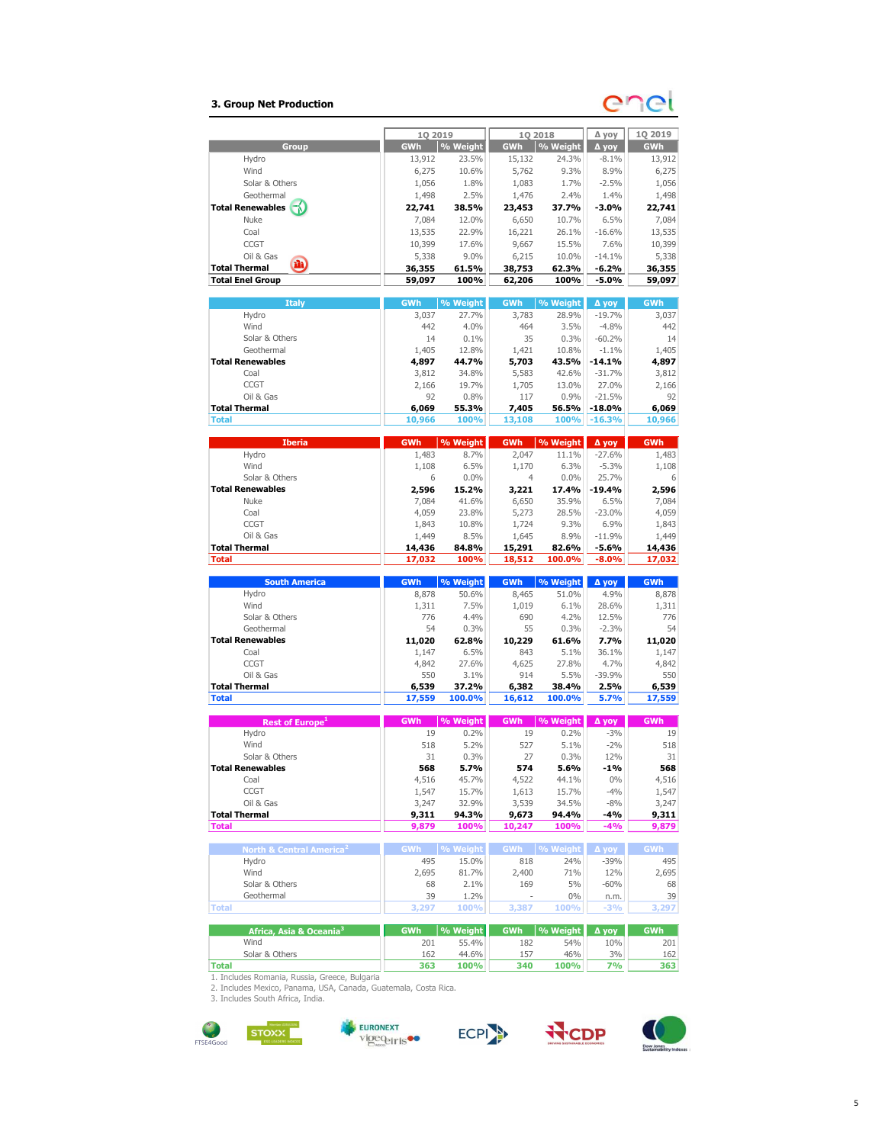### 3. Group Net Production

### enel

|                                                                                                                  | 1Q 2019          |                 |                  | 1Q 2018         | ∆ уоу                | 1Q 2019          |
|------------------------------------------------------------------------------------------------------------------|------------------|-----------------|------------------|-----------------|----------------------|------------------|
| Group                                                                                                            | <b>GWh</b>       | % Weight        | <b>GWh</b>       | % Weight        | Д уоу                | GWh              |
| Hydro                                                                                                            | 13,912           | 23.5%           | 15,132           | 24.3%           | $-8.1%$              | 13,912           |
| Wind                                                                                                             | 6,275            | 10.6%           | 5,762            | 9.3%            | 8.9%                 | 6,275            |
| Solar & Others                                                                                                   | 1,056            | 1.8%            | 1,083            | 1.7%            | $-2.5%$              | 1,056            |
| Geothermal                                                                                                       | 1,498            | 2.5%            | 1,476            | 2.4%            | 1.4%                 | 1,498            |
| <b>Total Renewables</b>                                                                                          | 22,741           | 38.5%           | 23,453           | 37.7%           | $-3.0%$              | 22,741           |
| Nuke                                                                                                             | 7,084            | 12.0%           | 6,650            | 10.7%           | 6.5%                 | 7,084            |
| Coal                                                                                                             | 13,535           | 22.9%           | 16,221           | 26.1%           | $-16.6%$             | 13,535           |
| <b>CCGT</b>                                                                                                      | 10,399           | 17.6%           | 9,667            | 15.5%           | 7.6%                 | 10,399           |
| Oil & Gas<br>m                                                                                                   | 5,338            | 9.0%            | 6,215            | 10.0%           | $-14.1%$             | 5,338            |
| <b>Total Thermal</b><br><b>Total Enel Group</b>                                                                  | 36,355<br>59,097 | 61.5%<br>100%   | 38,753<br>62,206 | 62.3%<br>100%   | $-6.2%$<br>$-5.0%$   | 36,355<br>59,097 |
|                                                                                                                  |                  |                 |                  |                 |                      |                  |
| <b>Italy</b>                                                                                                     | GWh              | % Weight        | <b>GWh</b>       | % Weight        | ∆ уоу                | GWh              |
| Hydro                                                                                                            | 3,037            | 27.7%           | 3,783            | 28.9%           | $-19.7%$             | 3,037            |
| Wind                                                                                                             | 442              | 4.0%            | 464              | 3.5%            | $-4.8%$              | 442              |
| Solar & Others                                                                                                   | 14               | 0.1%            | 35               | 0.3%            | $-60.2%$             | 14               |
| Geothermal                                                                                                       | 1,405            | 12.8%           | 1,421            | 10.8%           | $-1.1%$              | 1,405            |
| <b>Total Renewables</b>                                                                                          | 4,897            | 44.7%           | 5,703            | 43.5%           | $-14.1%$             | 4,897            |
| Coal                                                                                                             | 3,812            | 34.8%           | 5,583            | 42.6%           | $-31.7%$             | 3,812            |
| <b>CCGT</b>                                                                                                      | 2,166            | 19.7%           | 1,705            | 13.0%           | 27.0%                | 2,166            |
| Oil & Gas                                                                                                        | 92               | 0.8%            | 117              | 0.9%            | $-21.5%$             | 92               |
| <b>Total Thermal</b><br><b>Total</b>                                                                             | 6,069<br>10,966  | 55.3%<br>100%   | 7,405<br>13,108  | 56.5%<br>100%   | $-18.0%$<br>$-16.3%$ | 6,069<br>10,966  |
|                                                                                                                  |                  |                 |                  |                 |                      |                  |
| <b>Iberia</b>                                                                                                    | <b>GWh</b>       | % Weight        | <b>GWh</b>       | % Weight        | Д уоу                | <b>GWh</b>       |
| Hydro                                                                                                            | 1,483            | 8.7%            | 2,047            | 11.1%           | $-27.6%$             | 1,483            |
| Wind                                                                                                             | 1,108            | 6.5%            | 1,170            | 6.3%            | $-5.3%$              | 1,108            |
| Solar & Others                                                                                                   | 6                | 0.0%            | $\overline{4}$   | 0.0%            | 25.7%                | 6                |
| <b>Total Renewables</b>                                                                                          | 2,596            | 15.2%           | 3,221            | 17.4%           | $-19.4%$             | 2,596            |
| Nuke                                                                                                             | 7,084            | 41.6%           | 6,650            | 35.9%           | 6.5%                 | 7,084            |
| Coal                                                                                                             | 4,059            | 23.8%           | 5,273            | 28.5%           | $-23.0%$             | 4,059            |
| CCGT                                                                                                             | 1,843            | 10.8%           | 1,724            | 9.3%            | 6.9%                 | 1,843            |
| Oil & Gas<br><b>Total Thermal</b>                                                                                | 1,449<br>14,436  | 8.5%            | 1,645<br>15,291  | 8.9%            | $-11.9%$             | 1,449            |
| <b>Total</b>                                                                                                     | 17,032           | 84.8%<br>100%   | 18,512           | 82.6%<br>100.0% | -5.6%<br>$-8.0%$     | 14,436<br>17,032 |
|                                                                                                                  |                  |                 |                  |                 |                      |                  |
|                                                                                                                  |                  |                 |                  |                 |                      |                  |
| <b>South America</b>                                                                                             | GWh              | % Weight        | <b>GWh</b>       | % Weight        | ∆ уоу                | <b>GWh</b>       |
| Hydro                                                                                                            | 8,878            | 50.6%           | 8,465            | 51.0%           | 4.9%                 | 8,878            |
| Wind                                                                                                             | 1,311            | 7.5%            | 1,019            | 6.1%            | 28.6%                | 1,311            |
| Solar & Others                                                                                                   | 776              | 4.4%            | 690              | 4.2%            | 12.5%                | 776              |
| Geothermal                                                                                                       | 54               | 0.3%            | 55               | 0.3%            | $-2.3%$              | 54               |
| <b>Total Renewables</b>                                                                                          | 11,020           | 62.8%           | 10,229           | 61.6%           | 7.7%                 | 11,020           |
| Coal                                                                                                             | 1,147            | 6.5%            | 843              | 5.1%            | 36.1%                | 1,147            |
| <b>CCGT</b>                                                                                                      | 4,842            | 27.6%           | 4,625            | 27.8%           | 4.7%                 | 4,842            |
| Oil & Gas                                                                                                        | 550              | 3.1%            | 914              | 5.5%            | $-39.9%$             | 550              |
| <b>Total Thermal</b><br><b>Total</b>                                                                             | 6,539            | 37.2%<br>100.0% | 6,382            | 38.4%<br>100.0% | 2.5%                 | 6,539            |
|                                                                                                                  | 17,559           |                 | 16,612           |                 | 5.7%                 | 17,559           |
| Rest of Europe <sup>1</sup>                                                                                      | <b>GWh</b>       | % Weight        | GWh              | % Weight        | ∆ уоу                | GWh              |
| Hydro                                                                                                            | 19               | 0.2%            | 19               | 0.2%            | $-3%$                | 19               |
| Wind                                                                                                             | 518              | 5.2%            | 527              | 5.1%            | $-2%$                | 518              |
| Solar & Others                                                                                                   | 31               | 0.3%            | 27               | 0.3%            | 12%                  | 31               |
| <b>Total Renewables</b>                                                                                          | 568              | 5.7%            | 574              | 5.6%            | $-1\%$               | 568              |
| Coal                                                                                                             | 4,516            | 45.7%           | 4,522            | 44.1%           | $0\%$                | 4,516            |
| <b>CCGT</b>                                                                                                      | 1,547            | 15.7%           | 1,613            | 15.7%           | $-4%$                | 1,547            |
| Oil & Gas                                                                                                        | 3,247            | 32.9%           | 3,539            | 34.5%           | $-8%$                | 3,247            |
| <b>Total Thermal</b><br><b>Total</b>                                                                             | 9,311<br>9,879   | 94.3%<br>100%   | 9,673<br>10,247  | 94.4%<br>100%   | -4%<br>-4%           | 9,311<br>9,879   |
|                                                                                                                  |                  |                 |                  |                 |                      |                  |
| North & Central America <sup>2</sup>                                                                             | GWh <sub>a</sub> | % Weight        | <b>GWh</b>       | % Weight        | $\Delta$ yoy         | <b>GWh</b>       |
| Hydro                                                                                                            | 495              | 15.0%           | 818              | 24%             | $-39%$               | 495              |
| Wind                                                                                                             | 2,695            | 81.7%           | 2,400            | 71%             | 12%                  | 2,695            |
| Solar & Others                                                                                                   | 68               | 2.1%            | 169              | 5%              | $-60%$               | 68               |
| Geothermal                                                                                                       | 39               | 1.2%            |                  | 0%              | n.m.                 | 39               |
| <b>Total</b>                                                                                                     | 3,297            | 100%            | 3,387            | 100%            | $-3%$                | 3,297            |
| Africa, Asia & Oceania <sup>3</sup>                                                                              | <b>GWh</b>       | % Weight        | <b>GWh</b>       | % Weight        | ∆ уоу                | <b>GWh</b>       |
| Wind                                                                                                             | 201              | 55.4%           | 182              | 54%             | 10%                  | 201              |
| Solar & Others                                                                                                   | 162              | 44.6%           | 157              | 46%             | 3%                   | 162              |
| <b>Total</b>                                                                                                     | 363              | 100%            | 340              | 100%            | 7%                   | 363              |
| 1. Includes Romania, Russia, Greece, Bulgaria<br>2. Includes Mexico, Panama, USA, Canada, Guatemala, Costa Rica. |                  |                 |                  |                 |                      |                  |









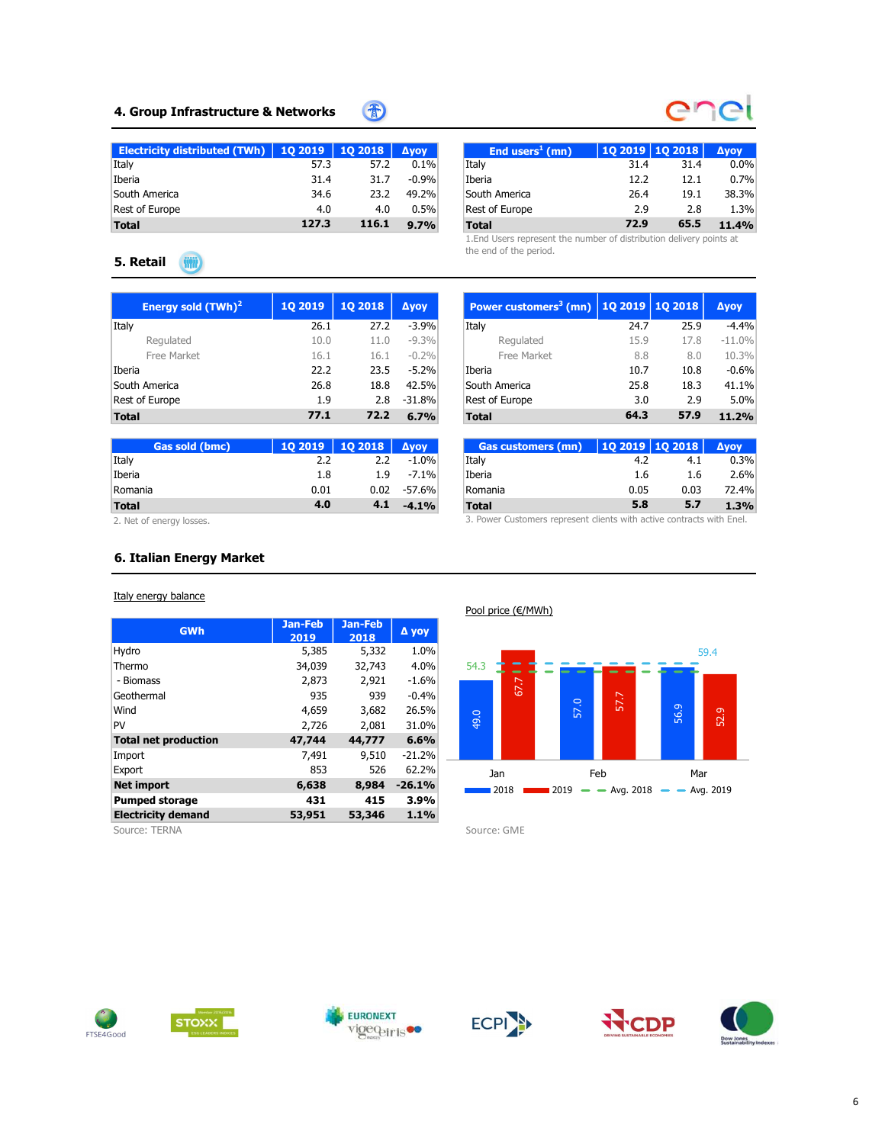### 4. Group Infrastructure & Networks



| Electricity distributed (TWh) 10 2019 |       | $102018$ $\Delta$ vov |         | End users <sup>1</sup> (mn) |      | 10 2019 10 2018 | Δγογ    |
|---------------------------------------|-------|-----------------------|---------|-----------------------------|------|-----------------|---------|
| Italy                                 | 57.3  | 57.2                  | 0.1%    | Italy                       | 31.4 | 31.4            | $0.0\%$ |
| Iberia                                | 31.4  | 31.7                  | $-0.9%$ | Iberia                      | 12.2 | 12.1            | 0.7%    |
| South America                         | 34.6  | 23.2                  | 49.2%   | South America               | 26.4 | 19.1            | 38.3%   |
| Rest of Europe                        | 4.0   | 4.0                   | 0.5%    | Rest of Europe              | 2.9  | 2.8             | 1.3%    |
| <b>Total</b>                          | 127.3 | 116.1                 | 9.7%    | <b>Total</b>                | 72.9 | 65.5            | 11.4%   |

### South America 26.4 19.1 38.3% Rest of Europe 2.9 2.8 1.3%<br> **1.1.4% Rotal**

1.End Users represent the number of distribution delivery points at the end of the period.

#### 5. Retail **Will**

| Energy sold (TWh) <sup>2</sup> | 10 2019 | 10 2018 | <b>Ayoy</b> | Power customers <sup>3</sup> (mn) $ $ 1Q 2019 $ $ 1Q 2018 $ $ |      |      | <b>Дуоу</b> |
|--------------------------------|---------|---------|-------------|---------------------------------------------------------------|------|------|-------------|
| Italy                          | 26.1    | 27.2    | $-3.9%$     | Italy                                                         | 24.7 | 25.9 | $-4.4%$     |
| Regulated                      | 10.0    | 11.0    | $-9.3%$     | Regulated                                                     | 15.9 | 17.8 | $-11.0%$    |
| Free Market                    | 16.1    | 16.1    | $-0.2%$     | Free Market                                                   | 8.8  | 8.0  | 10.3%       |
| Iberia                         | 22.2    | 23.5    | $-5.2%$     | Iberia                                                        | 10.7 | 10.8 | $-0.6%$     |
| South America                  | 26.8    | 18.8    | 42.5%       | South America                                                 | 25.8 | 18.3 | 41.1%       |
| Rest of Europe                 | 1.9     | 2.8     | $-31.8%$    | Rest of Europe                                                | 3.0  | 2.9  | 5.0%        |
| <b>Total</b>                   | 77.1    | 72.2    | 6.7%        | <b>Total</b>                                                  | 64.3 | 57.9 | 11.2%       |

| Gas sold (bmc) | 10 2019 | 10 2018 | <b>Avov</b> | <b>Gas customers (mn)</b> |      | 10 2019   10 2018 | <b>Avov</b> |
|----------------|---------|---------|-------------|---------------------------|------|-------------------|-------------|
| Italy          | 2.2     | 2.2     | $-1.0\%$    | Italy                     | 4.2  | 4.1               | 0.3%        |
| Iberia         | 1.8     | 1.9     | $-7.1%$     | Iberia                    | 1.6  | 1.6               | 2.6%        |
| Romania        | 0.01    | 0.02    | -57.6%      | Romania                   | 0.05 | 0.03              | 72.4%       |
| <b>Total</b>   | 4.0     | 4.1     | $-4.1%$     | <b>Total</b>              | 5.8  | 5.7               | 1.3%        |

2. Net of energy losses.

### 6. Italian Energy Market

### Italy energy balance

| <b>GWh</b>                  | Jan-Feb<br>2019 | Jan-Feb<br>2018 | Д уоу    |             |      |
|-----------------------------|-----------------|-----------------|----------|-------------|------|
| Hydro                       | 5,385           | 5,332           | 1.0%     |             |      |
| Thermo                      | 34,039          | 32,743          | 4.0%     | 54.3        |      |
| - Biomass                   | 2,873           | 2,921           | $-1.6%$  |             | 67.7 |
| Geothermal                  | 935             | 939             | $-0.4%$  |             |      |
| Wind                        | 4,659           | 3,682           | 26.5%    |             |      |
| PV                          | 2,726           | 2,081           | 31.0%    | 49.0        |      |
| <b>Total net production</b> | 47,744          | 44,777          | 6.6%     |             |      |
| Import                      | 7,491           | 9,510           | $-21.2%$ |             |      |
| Export                      | 853             | 526             | 62.2%    | Jan         |      |
| <b>Net import</b>           | 6,638           | 8,984           | $-26.1%$ | 2018        |      |
| <b>Pumped storage</b>       | 431             | 415             | 3.9%     |             |      |
| <b>Electricity demand</b>   | 53,951          | 53,346          | 1.1%     |             |      |
| Source: TERNA               |                 |                 |          | Source: GME |      |

| Power customers <sup>3</sup> (mn) | 10 2019 | 10 2018 | <b>Ayoy</b> |
|-----------------------------------|---------|---------|-------------|
| Italy                             | 24.7    | 25.9    | $-4.4%$     |
| Regulated                         | 15.9    | 17.8    | $-11.0%$    |
| Free Market                       | 8.8     | 8.0     | 10.3%       |
| Iberia                            | 10.7    | 10.8    | $-0.6%$     |
| South America                     | 25.8    | 18.3    | 41.1%       |
| Rest of Europe                    | 3.0     | 2.9     | $5.0\%$     |
| <b>Total</b>                      | 64.3    | 57.9    | 11.2%       |
|                                   |         |         |             |

| <b>Gas customers (mn)</b> | $102019$ 10 2018 |      | Δγογ  |
|---------------------------|------------------|------|-------|
| Italy                     | 4.2              | 4.1  | 0.3%  |
| Iberia                    | 1.6              | 1.6  | 2.6%  |
| Romania                   | 0.05             | 0.03 | 72.4% |
| <b>Total</b>              | 5.8              | 5.7  | 1.3%  |

3. Power Customers represent clients with active contracts with Enel.



Pool price (€/MWh)